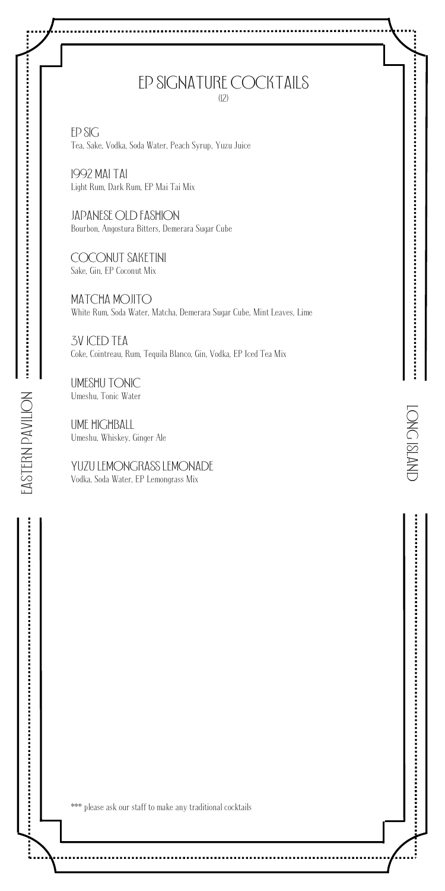#### Ep signature cocktails (12)

EP sig Tea, Sake, Vodka, Soda Water, Peach Syrup, Yuzu Juice

1992 Mai Tai Light Rum, Dark Rum, EP Mai Tai Mix

Japanese Old Fashion Bourbon, Angostura Bitters, Demerara Sugar Cube

Coconut saketini Sake, Gin, EP Coconut Mix

MATCHA MOJITO White Rum, Soda Water, Matcha, Demerara Sugar Cube, Mint Leaves, Lime

LONG IsLAND

<u>֝</u><br>׀

CNVTSI DNOT

Ì

3v Iced Tea Coke, Cointreau, Rum, Tequila Blanco, Gin, Vodka, EP Iced Tea Mix

UMESHU TONIC Umeshu, Tonic Water

EAsTERN PAVILION

 $\ddotsc$ 

UME HIGHBALL Umeshu, Whiskey, Ginger Ale

Yuzu lemongrass lemonade Vodka, Soda Water, EP Lemongrass Mix

\*\*\* please ask our staff to make any traditional cocktails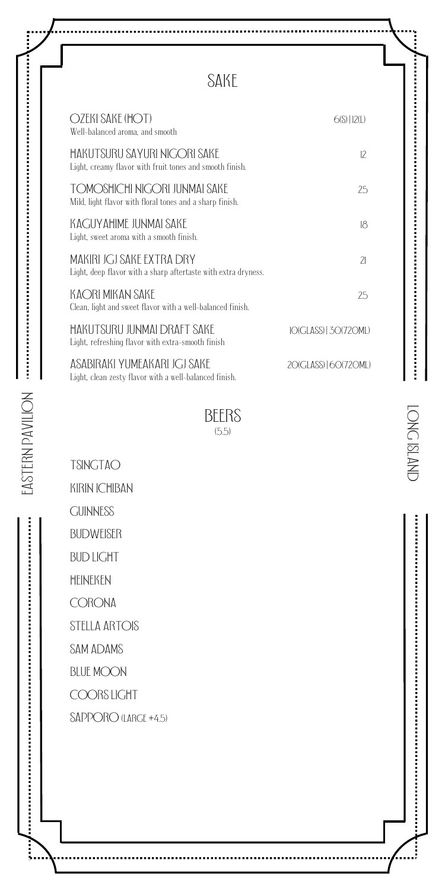## sake

| OZEKI SAKE (HOT)<br>Well-balanced aroma, and smooth                                         | $6(S)$   12(L)           |
|---------------------------------------------------------------------------------------------|--------------------------|
| HAKUTSURU SAYURI NIGORI SAKE<br>Light, creamy flavor with fruit tones and smooth finish.    | $12 \overline{ }$        |
| TOMOSHICHI NIGORI JUNMAI SAKE<br>Mild, light flavor with floral tones and a sharp finish.   | 25                       |
| KACIJYAHIME ILINMAI SAKE<br>Light, sweet aroma with a smooth finish.                        | 18                       |
| MAKIRI JGJ SAKE EXTRA DRY<br>Light, deep flavor with a sharp aftertaste with extra dryness. | $\overline{\mathcal{L}}$ |
| KAORI MIKAN SAKE<br>Clean, light and sweet flavor with a well-balanced finish.              | 25                       |
| HAKUTSURU IUNMAI DRAFT SAKF<br>Light, refreshing flavor with extra-smooth finish            | 10(GLASS)   30(720ML)    |
| ASABIRAKI YUMFAKARI IGI SAKE<br>Light, clean zesty flavor with a well-balanced finish.      | 20(GLASS) L60(720ML)     |

 $BEERS$ 

**TSINGTAO** 

kirin ichiban

**GUINNESS** 

Budweiser

bud light

Heineken

**CORONA** 

stella Artois

sam Adams

**BLUE MOON** 

COORS LIGHT

SAPPORO (LARGE +4.5)

j.

ĺ

**CINALSIDAD** LONG IsLAND

į

:<br>: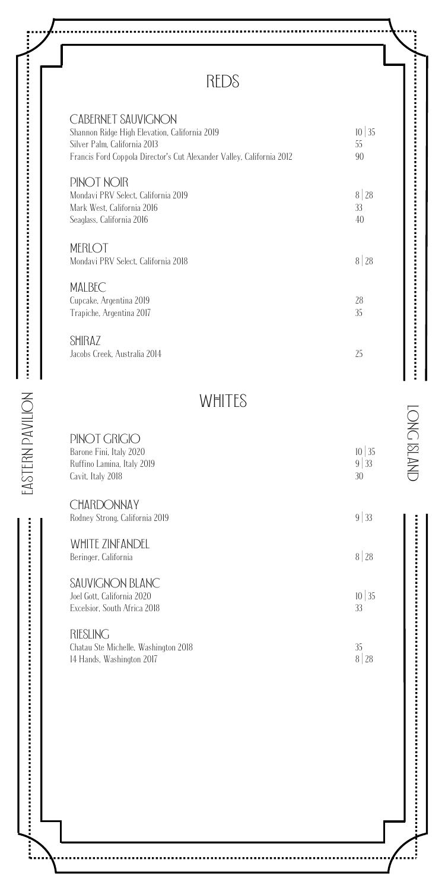# REDs

| CABERNET SAUVIGNON<br>Shannon Ridge High Elevation, California 2019<br>Silver Palm. California 2013<br>Francis Ford Coppola Director's Cut Alexander Valley, California 2012 | 35<br>10<br>55<br>90 |
|------------------------------------------------------------------------------------------------------------------------------------------------------------------------------|----------------------|
| PINOT NOIR<br>Mondavi PRV Select. California 2019<br>Mark West, California 2016<br>Seaglass, California 2016                                                                 | 8 28<br>33<br>40     |
| MERLOT<br>Mondavi PRV Select. California 2018                                                                                                                                | 8 28                 |
| <b>MALBEC</b><br>Cupcake, Argentina 2019<br>Trapiche, Argentina 2017                                                                                                         | 28<br>35             |
| SHIRAZ<br>Jacobs Creek, Australia 2014                                                                                                                                       | 25                   |

## WHITEs

LONG IsLAND

 $\tilde{a}$ 

TONC ISLAND

Ì

| PINOT GRIGIO                                        | $10 \mid 35$   |
|-----------------------------------------------------|----------------|
| Barone Fini, Italy 2020                             | 9 <sup>1</sup> |
| Ruffino Lamina, Italy 2019                          | 33             |
| Cavit, Italy 2018                                   | 30             |
| <b>CHARDONNAY</b><br>Rodney Strong, California 2019 | $9 \mid 33$    |
| WHITE ZINFANDFI<br>Beringer, California             | 8 28           |
| SAUVIGNON BLANC                                     | 35             |
| Joel Gott. California 2020                          | 10             |
| Excelsior. South Africa 2018                        | 33             |
| RIESLING                                            | 35             |
| Chatau Ste Michelle, Washington 2018                | 8              |
| 14 Hands, Washington 2017                           | 28             |

 $\frac{1}{2}$